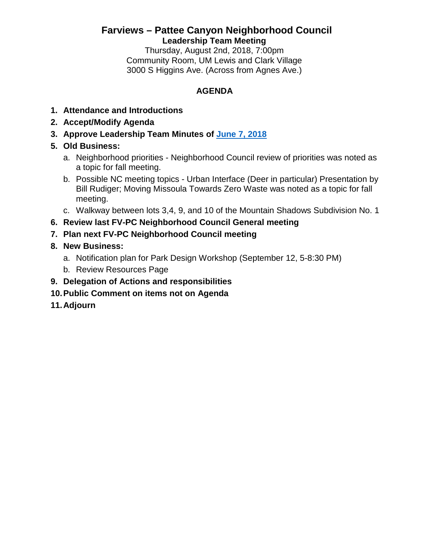# **Farviews – Pattee Canyon Neighborhood Council Leadership Team Meeting**

Thursday, August 2nd, 2018, 7:00pm Community Room, UM Lewis and Clark Village 3000 S Higgins Ave. (Across from Agnes Ave.)

### **AGENDA**

- **1. Attendance and Introductions**
- **2. Accept/Modify Agenda**
- **3. Approve Leadership Team Minutes of [June 7, 2018](http://www.ci.missoula.mt.us/ArchiveCenter/ViewFile/Item/12801)**
- **5. Old Business:**
	- a. Neighborhood priorities Neighborhood Council review of priorities was noted as a topic for fall meeting.
	- b. Possible NC meeting topics Urban Interface (Deer in particular) Presentation by Bill Rudiger; Moving Missoula Towards Zero Waste was noted as a topic for fall meeting.
	- c. Walkway between lots 3,4, 9, and 10 of the Mountain Shadows Subdivision No. 1
- **6. Review last FV-PC Neighborhood Council General meeting**
- **7. Plan next FV-PC Neighborhood Council meeting**

# **8. New Business:**

- a. Notification plan for Park Design Workshop (September 12, 5-8:30 PM)
- b. Review Resources Page
- **9. Delegation of Actions and responsibilities**
- **10.Public Comment on items not on Agenda**
- **11.Adjourn**